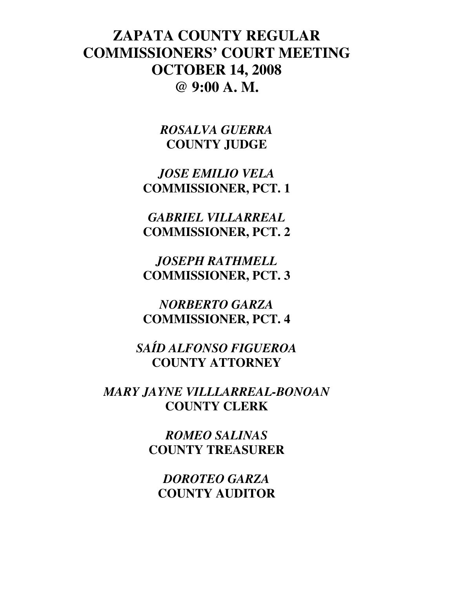# **ZAPATA COUNTY REGULAR COMMISSIONERS' COURT MEETING OCTOBER 14, 2008 @ 9:00 A. M.**

*ROSALVA GUERRA*  **COUNTY JUDGE** 

*JOSE EMILIO VELA*  **COMMISSIONER, PCT. 1** 

*GABRIEL VILLARREAL*  **COMMISSIONER, PCT. 2** 

*JOSEPH RATHMELL*  **COMMISSIONER, PCT. 3** 

*NORBERTO GARZA*  **COMMISSIONER, PCT. 4** 

*SAÍD ALFONSO FIGUEROA*  **COUNTY ATTORNEY** 

*MARY JAYNE VILLLARREAL-BONOAN*  **COUNTY CLERK** 

> *ROMEO SALINAS*  **COUNTY TREASURER**

*DOROTEO GARZA*  **COUNTY AUDITOR**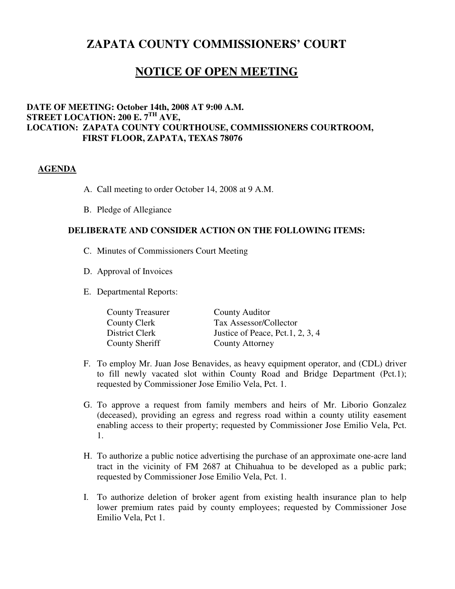# **ZAPATA COUNTY COMMISSIONERS' COURT**

# **NOTICE OF OPEN MEETING**

## **DATE OF MEETING: October 14th, 2008 AT 9:00 A.M. STREET LOCATION: 200 E. 7TH AVE, LOCATION: ZAPATA COUNTY COURTHOUSE, COMMISSIONERS COURTROOM, FIRST FLOOR, ZAPATA, TEXAS 78076**

### **AGENDA**

- A. Call meeting to order October 14, 2008 at 9 A.M.
- B. Pledge of Allegiance

## **DELIBERATE AND CONSIDER ACTION ON THE FOLLOWING ITEMS:**

- C. Minutes of Commissioners Court Meeting
- D. Approval of Invoices
- E. Departmental Reports:

| <b>County Treasurer</b> | County Auditor                   |
|-------------------------|----------------------------------|
| County Clerk            | Tax Assessor/Collector           |
| District Clerk          | Justice of Peace, Pct.1, 2, 3, 4 |
| County Sheriff          | <b>County Attorney</b>           |

- F. To employ Mr. Juan Jose Benavides, as heavy equipment operator, and (CDL) driver to fill newly vacated slot within County Road and Bridge Department (Pct.1); requested by Commissioner Jose Emilio Vela, Pct. 1.
- G. To approve a request from family members and heirs of Mr. Liborio Gonzalez (deceased), providing an egress and regress road within a county utility easement enabling access to their property; requested by Commissioner Jose Emilio Vela, Pct. 1.
- H. To authorize a public notice advertising the purchase of an approximate one-acre land tract in the vicinity of FM 2687 at Chihuahua to be developed as a public park; requested by Commissioner Jose Emilio Vela, Pct. 1.
- I. To authorize deletion of broker agent from existing health insurance plan to help lower premium rates paid by county employees; requested by Commissioner Jose Emilio Vela, Pct 1.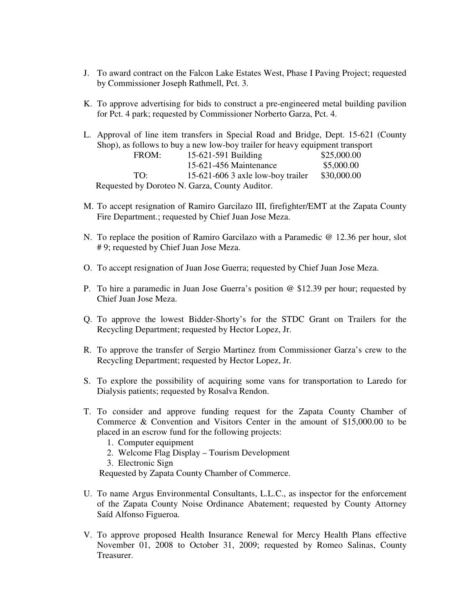- J. To award contract on the Falcon Lake Estates West, Phase I Paving Project; requested by Commissioner Joseph Rathmell, Pct. 3.
- K. To approve advertising for bids to construct a pre-engineered metal building pavilion for Pct. 4 park; requested by Commissioner Norberto Garza, Pct. 4.
- L. Approval of line item transfers in Special Road and Bridge, Dept. 15-621 (County Shop), as follows to buy a new low-boy trailer for heavy equipment transport FROM: 15-621-591 Building \$25,000.00 15-621-456 Maintenance \$5,000.00 TO: 15-621-606 3 axle low-boy trailer \$30,000.00 Requested by Doroteo N. Garza, County Auditor.
- M. To accept resignation of Ramiro Garcilazo III, firefighter/EMT at the Zapata County Fire Department.; requested by Chief Juan Jose Meza.
- N. To replace the position of Ramiro Garcilazo with a Paramedic @ 12.36 per hour, slot # 9; requested by Chief Juan Jose Meza.
- O. To accept resignation of Juan Jose Guerra; requested by Chief Juan Jose Meza.
- P. To hire a paramedic in Juan Jose Guerra's position @ \$12.39 per hour; requested by Chief Juan Jose Meza.
- Q. To approve the lowest Bidder-Shorty's for the STDC Grant on Trailers for the Recycling Department; requested by Hector Lopez, Jr.
- R. To approve the transfer of Sergio Martinez from Commissioner Garza's crew to the Recycling Department; requested by Hector Lopez, Jr.
- S. To explore the possibility of acquiring some vans for transportation to Laredo for Dialysis patients; requested by Rosalva Rendon.
- T. To consider and approve funding request for the Zapata County Chamber of Commerce & Convention and Visitors Center in the amount of \$15,000.00 to be placed in an escrow fund for the following projects:
	- 1. Computer equipment
	- 2. Welcome Flag Display Tourism Development
	- 3. Electronic Sign

Requested by Zapata County Chamber of Commerce.

- U. To name Argus Environmental Consultants, L.L.C., as inspector for the enforcement of the Zapata County Noise Ordinance Abatement; requested by County Attorney Saíd Alfonso Figueroa.
- V. To approve proposed Health Insurance Renewal for Mercy Health Plans effective November 01, 2008 to October 31, 2009; requested by Romeo Salinas, County Treasurer.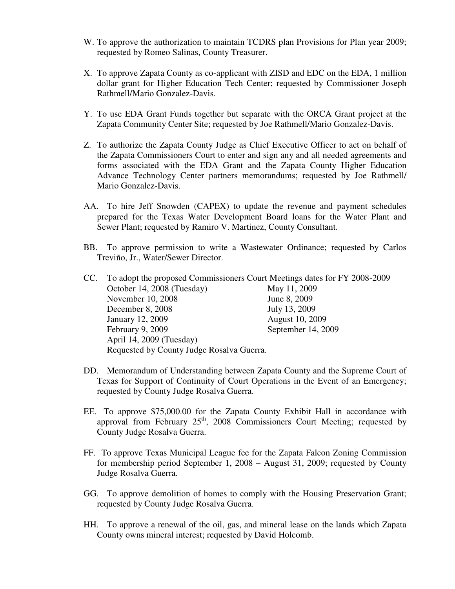- W. To approve the authorization to maintain TCDRS plan Provisions for Plan year 2009; requested by Romeo Salinas, County Treasurer.
- X. To approve Zapata County as co-applicant with ZISD and EDC on the EDA, 1 million dollar grant for Higher Education Tech Center; requested by Commissioner Joseph Rathmell/Mario Gonzalez-Davis.
- Y. To use EDA Grant Funds together but separate with the ORCA Grant project at the Zapata Community Center Site; requested by Joe Rathmell/Mario Gonzalez-Davis.
- Z. To authorize the Zapata County Judge as Chief Executive Officer to act on behalf of the Zapata Commissioners Court to enter and sign any and all needed agreements and forms associated with the EDA Grant and the Zapata County Higher Education Advance Technology Center partners memorandums; requested by Joe Rathmell/ Mario Gonzalez-Davis.
- AA. To hire Jeff Snowden (CAPEX) to update the revenue and payment schedules prepared for the Texas Water Development Board loans for the Water Plant and Sewer Plant; requested by Ramiro V. Martinez, County Consultant.
- BB. To approve permission to write a Wastewater Ordinance; requested by Carlos Treviño, Jr., Water/Sewer Director.

| CC. To adopt the proposed Commissioners Court Meetings dates for FY 2008-2009 |                        |  |  |  |
|-------------------------------------------------------------------------------|------------------------|--|--|--|
| October 14, 2008 (Tuesday)                                                    | May 11, 2009           |  |  |  |
| November 10, 2008                                                             | June 8, 2009           |  |  |  |
| December 8, 2008                                                              | July 13, 2009          |  |  |  |
| January 12, 2009                                                              | <b>August 10, 2009</b> |  |  |  |
| February 9, 2009                                                              | September 14, 2009     |  |  |  |
| April 14, 2009 (Tuesday)                                                      |                        |  |  |  |
| Requested by County Judge Rosalva Guerra.                                     |                        |  |  |  |

- DD. Memorandum of Understanding between Zapata County and the Supreme Court of Texas for Support of Continuity of Court Operations in the Event of an Emergency; requested by County Judge Rosalva Guerra.
- EE. To approve \$75,000.00 for the Zapata County Exhibit Hall in accordance with approval from February  $25<sup>th</sup>$ , 2008 Commissioners Court Meeting; requested by County Judge Rosalva Guerra.
- FF. To approve Texas Municipal League fee for the Zapata Falcon Zoning Commission for membership period September 1, 2008 – August 31, 2009; requested by County Judge Rosalva Guerra.
- GG. To approve demolition of homes to comply with the Housing Preservation Grant; requested by County Judge Rosalva Guerra.
- HH. To approve a renewal of the oil, gas, and mineral lease on the lands which Zapata County owns mineral interest; requested by David Holcomb.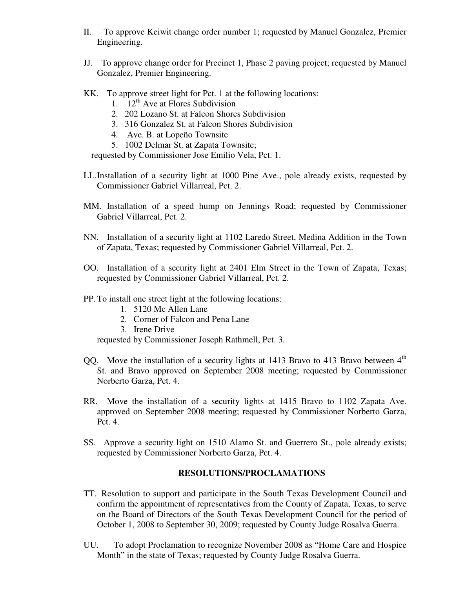- II. To approve Keiwit change order number 1; requested by Manuel Gonzalez, Premier Engineering.
- JJ. To approve change order for Precinct 1, Phase 2 paving project; requested by Manuel Gonzalez, Premier Engineering.
- KK. To approve street light for Pct. 1 at the following locations:
	- 1.  $12^{th}$  Ave at Flores Subdivision
	- 2. 202 Lozano St. at Falcon Shores Subdivision
	- 3. 316 Gonzalez St. at Falcon Shores Subdivision
	- 4. Ave. B. at Lopeño Townsite
	- 5. 1002 Delmar St. at Zapata Townsite;

requested by Commissioner Jose Emilio Vela, Pct. 1.

- LL.Installation of a security light at 1000 Pine Ave., pole already exists, requested by Commissioner Gabriel Villarreal, Pct. 2.
- MM. Installation of a speed hump on Jennings Road; requested by Commissioner Gabriel Villarreal, Pct. 2.
- NN. Installation of a security light at 1102 Laredo Street, Medina Addition in the Town of Zapata, Texas; requested by Commissioner Gabriel Villarreal, Pct. 2.
- OO. Installation of a security light at 2401 Elm Street in the Town of Zapata, Texas; requested by Commissioner Gabriel Villarreal, Pct. 2.
- PP.To install one street light at the following locations:
	- 1. 5120 Mc Allen Lane
	- 2. Corner of Falcon and Pena Lane
	- 3. Irene Drive

requested by Commissioner Joseph Rathmell, Pct. 3.

- QQ. Move the installation of a security lights at  $1413$  Bravo to  $413$  Bravo between  $4<sup>th</sup>$ St. and Bravo approved on September 2008 meeting; requested by Commissioner Norberto Garza, Pct. 4.
- RR. Move the installation of a security lights at 1415 Bravo to 1102 Zapata Ave. approved on September 2008 meeting; requested by Commissioner Norberto Garza, Pct. 4.
- SS. Approve a security light on 1510 Alamo St. and Guerrero St., pole already exists; requested by Commissioner Norberto Garza, Pct. 4.

### **RESOLUTIONS/PROCLAMATIONS**

- TT. Resolution to support and participate in the South Texas Development Council and confirm the appointment of representatives from the County of Zapata, Texas, to serve on the Board of Directors of the South Texas Development Council for the period of October 1, 2008 to September 30, 2009; requested by County Judge Rosalva Guerra.
- UU. To adopt Proclamation to recognize November 2008 as "Home Care and Hospice Month" in the state of Texas; requested by County Judge Rosalva Guerra.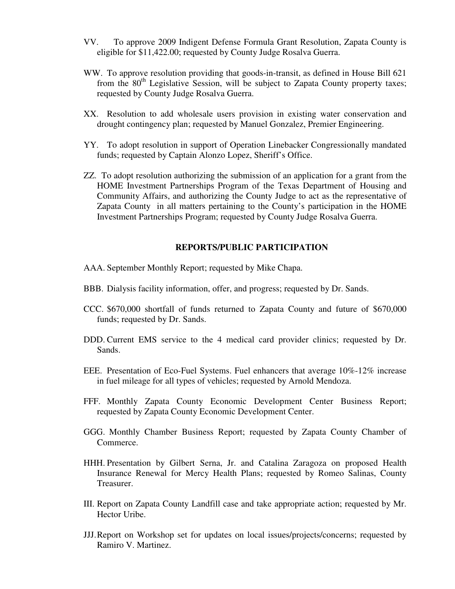- VV. To approve 2009 Indigent Defense Formula Grant Resolution, Zapata County is eligible for \$11,422.00; requested by County Judge Rosalva Guerra.
- WW. To approve resolution providing that goods-in-transit, as defined in House Bill 621 from the  $80<sup>th</sup>$  Legislative Session, will be subject to Zapata County property taxes; requested by County Judge Rosalva Guerra.
- XX. Resolution to add wholesale users provision in existing water conservation and drought contingency plan; requested by Manuel Gonzalez, Premier Engineering.
- YY. To adopt resolution in support of Operation Linebacker Congressionally mandated funds; requested by Captain Alonzo Lopez, Sheriff's Office.
- ZZ. To adopt resolution authorizing the submission of an application for a grant from the HOME Investment Partnerships Program of the Texas Department of Housing and Community Affairs, and authorizing the County Judge to act as the representative of Zapata County in all matters pertaining to the County's participation in the HOME Investment Partnerships Program; requested by County Judge Rosalva Guerra.

#### **REPORTS/PUBLIC PARTICIPATION**

- AAA. September Monthly Report; requested by Mike Chapa.
- BBB. Dialysis facility information, offer, and progress; requested by Dr. Sands.
- CCC. \$670,000 shortfall of funds returned to Zapata County and future of \$670,000 funds; requested by Dr. Sands.
- DDD. Current EMS service to the 4 medical card provider clinics; requested by Dr. Sands.
- EEE. Presentation of Eco-Fuel Systems. Fuel enhancers that average 10%-12% increase in fuel mileage for all types of vehicles; requested by Arnold Mendoza.
- FFF. Monthly Zapata County Economic Development Center Business Report; requested by Zapata County Economic Development Center.
- GGG. Monthly Chamber Business Report; requested by Zapata County Chamber of Commerce.
- HHH. Presentation by Gilbert Serna, Jr. and Catalina Zaragoza on proposed Health Insurance Renewal for Mercy Health Plans; requested by Romeo Salinas, County Treasurer.
- III. Report on Zapata County Landfill case and take appropriate action; requested by Mr. Hector Uribe.
- JJJ.Report on Workshop set for updates on local issues/projects/concerns; requested by Ramiro V. Martinez.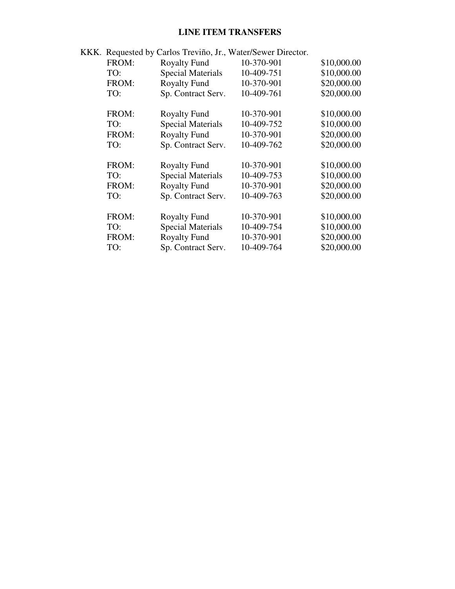# **LINE ITEM TRANSFERS**

|  | KKK. Requested by Carlos Treviño, Jr., Water/Sewer Director. |                          |            |             |
|--|--------------------------------------------------------------|--------------------------|------------|-------------|
|  | FROM:                                                        | <b>Royalty Fund</b>      | 10-370-901 | \$10,000.00 |
|  | TO:                                                          | <b>Special Materials</b> | 10-409-751 | \$10,000.00 |
|  | FROM:                                                        | <b>Royalty Fund</b>      | 10-370-901 | \$20,000.00 |
|  | TO:                                                          | Sp. Contract Serv.       | 10-409-761 | \$20,000.00 |
|  | FROM:                                                        | <b>Royalty Fund</b>      | 10-370-901 | \$10,000.00 |
|  | TO:                                                          | <b>Special Materials</b> | 10-409-752 | \$10,000.00 |
|  | FROM:                                                        | <b>Royalty Fund</b>      | 10-370-901 | \$20,000.00 |
|  | TO:                                                          | Sp. Contract Serv.       | 10-409-762 | \$20,000.00 |
|  | FROM:                                                        | <b>Royalty Fund</b>      | 10-370-901 | \$10,000.00 |
|  | TO:                                                          | <b>Special Materials</b> | 10-409-753 | \$10,000.00 |
|  | FROM:                                                        | <b>Royalty Fund</b>      | 10-370-901 | \$20,000.00 |
|  | TO:                                                          | Sp. Contract Serv.       | 10-409-763 | \$20,000.00 |
|  | FROM:                                                        | <b>Royalty Fund</b>      | 10-370-901 | \$10,000.00 |
|  | TO:                                                          | <b>Special Materials</b> | 10-409-754 | \$10,000.00 |
|  | FROM:                                                        | <b>Royalty Fund</b>      | 10-370-901 | \$20,000.00 |
|  | TO:                                                          | Sp. Contract Serv.       | 10-409-764 | \$20,000.00 |
|  |                                                              |                          |            |             |